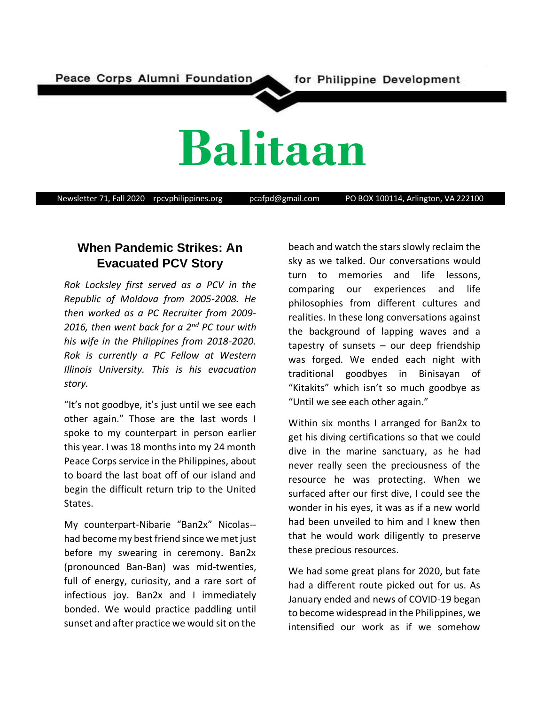Peace Corps Alumni Foundation

# **Balitaan**

Newsletter 71, Fall 2020 rpcvphilippines.org pcafpd@gmail.com PO BOX 100114, Arlington, VA 222100

# **When Pandemic Strikes: An Evacuated PCV Story**

*Rok Locksley first served as a PCV in the Republic of Moldova from 2005-2008. He then worked as a PC Recruiter from 2009- 2016, then went back for a 2nd PC tour with his wife in the Philippines from 2018-2020. Rok is currently a PC Fellow at Western Illinois University. This is his evacuation story.*

"It's not goodbye, it's just until we see each other again." Those are the last words I spoke to my counterpart in person earlier this year. I was 18 months into my 24 month Peace Corps service in the Philippines, about to board the last boat off of our island and begin the difficult return trip to the United States.

My counterpart-Nibarie "Ban2x" Nicolas- had become my best friend since we met just before my swearing in ceremony. Ban2x (pronounced Ban-Ban) was mid-twenties, full of energy, curiosity, and a rare sort of infectious joy. Ban2x and I immediately bonded. We would practice paddling until sunset and after practice we would sit on the

beach and watch the stars slowly reclaim the sky as we talked. Our conversations would turn to memories and life lessons, comparing our experiences and life philosophies from different cultures and realities. In these long conversations against the background of lapping waves and a tapestry of sunsets  $-$  our deep friendship was forged. We ended each night with traditional goodbyes in Binisayan of "Kitakits" which isn't so much goodbye as "Until we see each other again."

Within six months I arranged for Ban2x to get his diving certifications so that we could dive in the marine sanctuary, as he had never really seen the preciousness of the resource he was protecting. When we surfaced after our first dive, I could see the wonder in his eyes, it was as if a new world had been unveiled to him and I knew then that he would work diligently to preserve these precious resources.

We had some great plans for 2020, but fate had a different route picked out for us. As January ended and news of COVID-19 began to become widespread in the Philippines, we intensified our work as if we somehow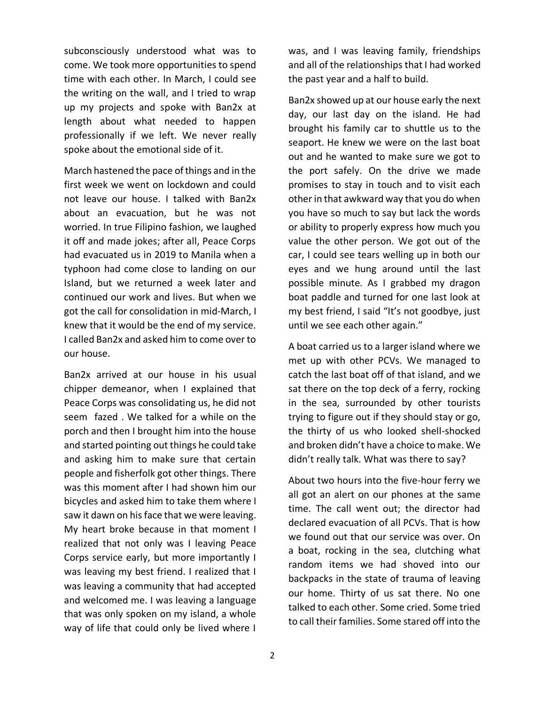subconsciously understood what was to come. We took more opportunities to spend time with each other. In March, I could see the writing on the wall, and I tried to wrap up my projects and spoke with Ban2x at length about what needed to happen professionally if we left. We never really spoke about the emotional side of it.

March hastened the pace of things and in the first week we went on lockdown and could not leave our house. I talked with Ban2x about an evacuation, but he was not worried. In true Filipino fashion, we laughed it off and made jokes; after all, Peace Corps had evacuated us in 2019 to Manila when a typhoon had come close to landing on our Island, but we returned a week later and continued our work and lives. But when we got the call for consolidation in mid-March, I knew that it would be the end of my service. I called Ban2x and asked him to come over to our house.

Ban2x arrived at our house in his usual chipper demeanor, when I explained that Peace Corps was consolidating us, he did not seem fazed . We talked for a while on the porch and then I brought him into the house and started pointing out things he could take and asking him to make sure that certain people and fisherfolk got other things. There was this moment after I had shown him our bicycles and asked him to take them where I saw it dawn on his face that we were leaving. My heart broke because in that moment I realized that not only was I leaving Peace Corps service early, but more importantly I was leaving my best friend. I realized that I was leaving a community that had accepted and welcomed me. I was leaving a language that was only spoken on my island, a whole way of life that could only be lived where I

was, and I was leaving family, friendships and all of the relationships that I had worked the past year and a half to build.

Ban2x showed up at our house early the next day, our last day on the island. He had brought his family car to shuttle us to the seaport. He knew we were on the last boat out and he wanted to make sure we got to the port safely. On the drive we made promises to stay in touch and to visit each other in that awkward way that you do when you have so much to say but lack the words or ability to properly express how much you value the other person. We got out of the car, I could see tears welling up in both our eyes and we hung around until the last possible minute. As I grabbed my dragon boat paddle and turned for one last look at my best friend, I said "It's not goodbye, just until we see each other again."

A boat carried us to a larger island where we met up with other PCVs. We managed to catch the last boat off of that island, and we sat there on the top deck of a ferry, rocking in the sea, surrounded by other tourists trying to figure out if they should stay or go, the thirty of us who looked shell-shocked and broken didn't have a choice to make. We didn't really talk. What was there to say?

About two hours into the five-hour ferry we all got an alert on our phones at the same time. The call went out; the director had declared evacuation of all PCVs. That is how we found out that our service was over. On a boat, rocking in the sea, clutching what random items we had shoved into our backpacks in the state of trauma of leaving our home. Thirty of us sat there. No one talked to each other. Some cried. Some tried to call their families. Some stared off into the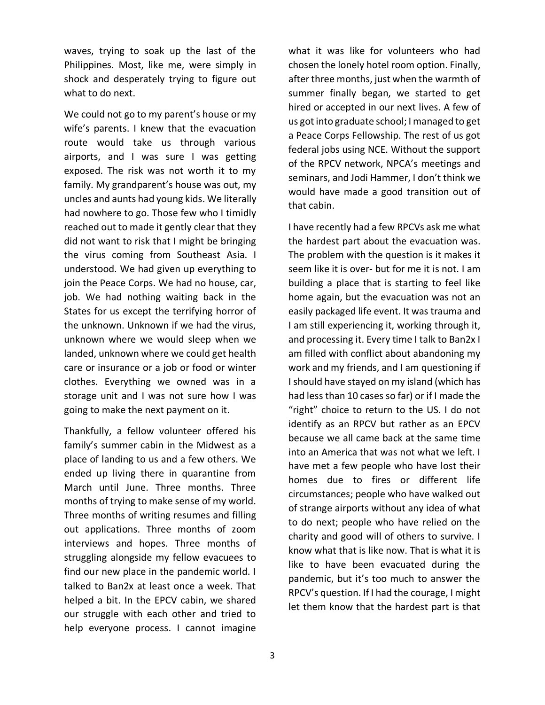waves, trying to soak up the last of the Philippines. Most, like me, were simply in shock and desperately trying to figure out what to do next.

We could not go to my parent's house or my wife's parents. I knew that the evacuation route would take us through various airports, and I was sure I was getting exposed. The risk was not worth it to my family. My grandparent's house was out, my uncles and aunts had young kids. We literally had nowhere to go. Those few who I timidly reached out to made it gently clear that they did not want to risk that I might be bringing the virus coming from Southeast Asia. I understood. We had given up everything to join the Peace Corps. We had no house, car, job. We had nothing waiting back in the States for us except the terrifying horror of the unknown. Unknown if we had the virus, unknown where we would sleep when we landed, unknown where we could get health care or insurance or a job or food or winter clothes. Everything we owned was in a storage unit and I was not sure how I was going to make the next payment on it.

Thankfully, a fellow volunteer offered his family's summer cabin in the Midwest as a place of landing to us and a few others. We ended up living there in quarantine from March until June. Three months. Three months of trying to make sense of my world. Three months of writing resumes and filling out applications. Three months of zoom interviews and hopes. Three months of struggling alongside my fellow evacuees to find our new place in the pandemic world. I talked to Ban2x at least once a week. That helped a bit. In the EPCV cabin, we shared our struggle with each other and tried to help everyone process. I cannot imagine

what it was like for volunteers who had chosen the lonely hotel room option. Finally, after three months, just when the warmth of summer finally began, we started to get hired or accepted in our next lives. A few of us got into graduate school; I managed to get a Peace Corps Fellowship. The rest of us got federal jobs using NCE. Without the support of the RPCV network, NPCA's meetings and seminars, and Jodi Hammer, I don't think we would have made a good transition out of that cabin.

I have recently had a few RPCVs ask me what the hardest part about the evacuation was. The problem with the question is it makes it seem like it is over- but for me it is not. I am building a place that is starting to feel like home again, but the evacuation was not an easily packaged life event. It was trauma and I am still experiencing it, working through it, and processing it. Every time I talk to Ban2x I am filled with conflict about abandoning my work and my friends, and I am questioning if I should have stayed on my island (which has had less than 10 cases so far) or if I made the "right" choice to return to the US. I do not identify as an RPCV but rather as an EPCV because we all came back at the same time into an America that was not what we left. I have met a few people who have lost their homes due to fires or different life circumstances; people who have walked out of strange airports without any idea of what to do next; people who have relied on the charity and good will of others to survive. I know what that is like now. That is what it is like to have been evacuated during the pandemic, but it's too much to answer the RPCV's question. If I had the courage, I might let them know that the hardest part is that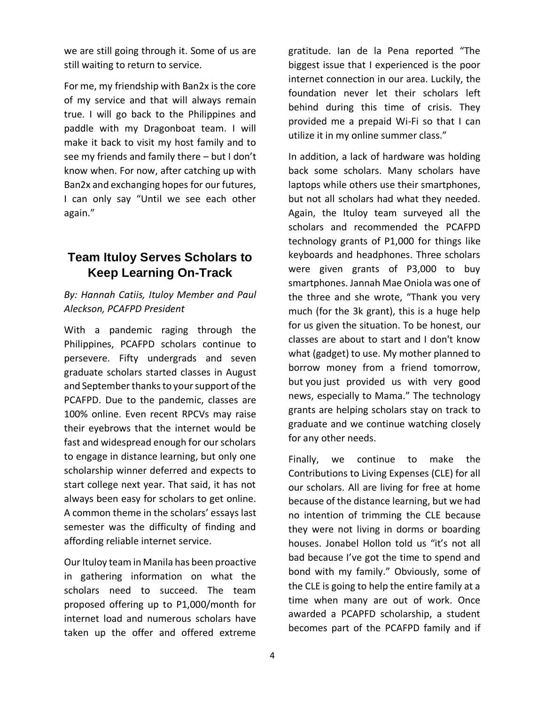we are still going through it. Some of us are still waiting to return to service.

For me, my friendship with Ban2x is the core of my service and that will always remain true. I will go back to the Philippines and paddle with my Dragonboat team. I will make it back to visit my host family and to see my friends and family there – but I don't know when. For now, after catching up with Ban2x and exchanging hopes for our futures, I can only say "Until we see each other again."

# **Team Ituloy Serves Scholars to Keep Learning On-Track**

#### *By: Hannah Catiis, Ituloy Member and Paul Aleckson, PCAFPD President*

With a pandemic raging through the Philippines, PCAFPD scholars continue to persevere. Fifty undergrads and seven graduate scholars started classes in August and September thanks to your support of the PCAFPD. Due to the pandemic, classes are 100% online. Even recent RPCVs may raise their eyebrows that the internet would be fast and widespread enough for our scholars to engage in distance learning, but only one scholarship winner deferred and expects to start college next year. That said, it has not always been easy for scholars to get online. A common theme in the scholars' essays last semester was the difficulty of finding and affording reliable internet service.

Our Ituloy team in Manila has been proactive in gathering information on what the scholars need to succeed. The team proposed offering up to P1,000/month for internet load and numerous scholars have taken up the offer and offered extreme

gratitude. Ian de la Pena reported "The biggest issue that I experienced is the poor internet connection in our area. Luckily, the foundation never let their scholars left behind during this time of crisis. They provided me a prepaid Wi-Fi so that I can utilize it in my online summer class."

In addition, a lack of hardware was holding back some scholars. Many scholars have laptops while others use their smartphones, but not all scholars had what they needed. Again, the Ituloy team surveyed all the scholars and recommended the PCAFPD technology grants of P1,000 for things like keyboards and headphones. Three scholars were given grants of P3,000 to buy smartphones. Jannah Mae Oniola was one of the three and she wrote, "Thank you very much (for the 3k grant), this is a huge help for us given the situation. To be honest, our classes are about to start and I don't know what (gadget) to use. My mother planned to borrow money from a friend tomorrow, but you just provided us with very good news, especially to Mama." The technology grants are helping scholars stay on track to graduate and we continue watching closely for any other needs.

Finally, we continue to make the Contributions to Living Expenses (CLE) for all our scholars. All are living for free at home because of the distance learning, but we had no intention of trimming the CLE because they were not living in dorms or boarding houses. Jonabel Hollon told us "it's not all bad because I've got the time to spend and bond with my family." Obviously, some of the CLE is going to help the entire family at a time when many are out of work. Once awarded a PCAPFD scholarship, a student becomes part of the PCAFPD family and if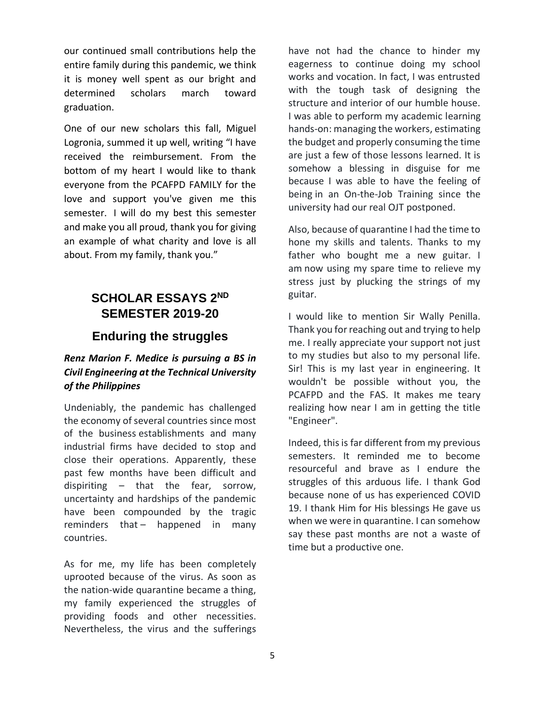our continued small contributions help the entire family during this pandemic, we think it is money well spent as our bright and determined scholars march toward graduation.

One of our new scholars this fall, Miguel Logronia, summed it up well, writing "I have received the reimbursement. From the bottom of my heart I would like to thank everyone from the PCAFPD FAMILY for the love and support you've given me this semester. I will do my best this semester and make you all proud, thank you for giving an example of what charity and love is all about. From my family, thank you."

# **SCHOLAR ESSAYS 2ND SEMESTER 2019-20**

### **Enduring the struggles**

#### *Renz Marion F. Medice is pursuing a BS in Civil Engineering at the Technical University of the Philippines*

Undeniably, the pandemic has challenged the economy of several countries since most of the business establishments and many industrial firms have decided to stop and close their operations. Apparently, these past few months have been difficult and dispiriting – that the fear, sorrow, uncertainty and hardships of the pandemic have been compounded by the tragic reminders that – happened in many countries.

As for me, my life has been completely uprooted because of the virus. As soon as the nation-wide quarantine became a thing, my family experienced the struggles of providing foods and other necessities. Nevertheless, the virus and the sufferings

have not had the chance to hinder my eagerness to continue doing my school works and vocation. In fact, I was entrusted with the tough task of designing the structure and interior of our humble house. I was able to perform my academic learning hands-on: managing the workers, estimating the budget and properly consuming the time are just a few of those lessons learned. It is somehow a blessing in disguise for me because I was able to have the feeling of being in an On-the-Job Training since the university had our real OJT postponed.

Also, because of quarantine I had the time to hone my skills and talents. Thanks to my father who bought me a new guitar. I am now using my spare time to relieve my stress just by plucking the strings of my guitar.

I would like to mention Sir Wally Penilla. Thank you for reaching out and trying to help me. I really appreciate your support not just to my studies but also to my personal life. Sir! This is my last year in engineering. It wouldn't be possible without you, the PCAFPD and the FAS. It makes me teary realizing how near I am in getting the title "Engineer".

Indeed, this is far different from my previous semesters. It reminded me to become resourceful and brave as I endure the struggles of this arduous life. I thank God because none of us has experienced COVID 19. I thank Him for His blessings He gave us when we were in quarantine. I can somehow say these past months are not a waste of time but a productive one.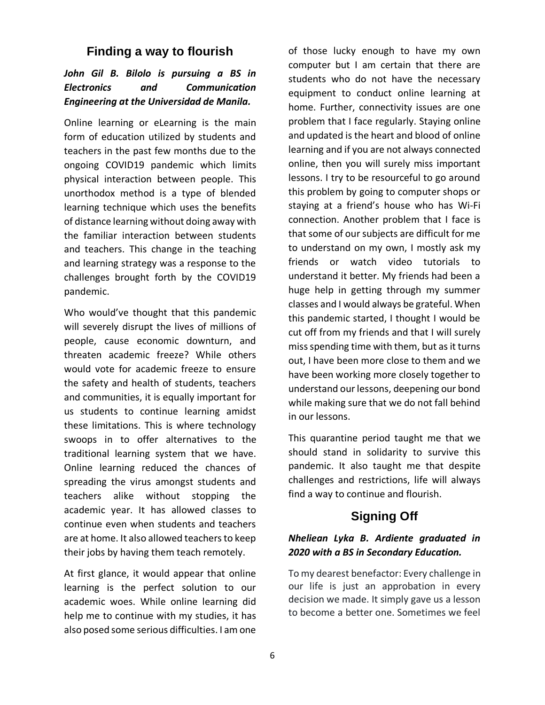#### **Finding a way to flourish**

#### *John Gil B. Bilolo is pursuing a BS in Electronics and Communication Engineering at the Universidad de Manila.*

Online learning or eLearning is the main form of education utilized by students and teachers in the past few months due to the ongoing COVID19 pandemic which limits physical interaction between people. This unorthodox method is a type of blended learning technique which uses the benefits of distance learning without doing away with the familiar interaction between students and teachers. This change in the teaching and learning strategy was a response to the challenges brought forth by the COVID19 pandemic.

Who would've thought that this pandemic will severely disrupt the lives of millions of people, cause economic downturn, and threaten academic freeze? While others would vote for academic freeze to ensure the safety and health of students, teachers and communities, it is equally important for us students to continue learning amidst these limitations. This is where technology swoops in to offer alternatives to the traditional learning system that we have. Online learning reduced the chances of spreading the virus amongst students and teachers alike without stopping the academic year. It has allowed classes to continue even when students and teachers are at home. It also allowed teachers to keep their jobs by having them teach remotely.

At first glance, it would appear that online learning is the perfect solution to our academic woes. While online learning did help me to continue with my studies, it has also posed some serious difficulties. I am one

of those lucky enough to have my own computer but I am certain that there are students who do not have the necessary equipment to conduct online learning at home. Further, connectivity issues are one problem that I face regularly. Staying online and updated is the heart and blood of online learning and if you are not always connected online, then you will surely miss important lessons. I try to be resourceful to go around this problem by going to computer shops or staying at a friend's house who has Wi-Fi connection. Another problem that I face is that some of our subjects are difficult for me to understand on my own, I mostly ask my friends or watch video tutorials to understand it better. My friends had been a huge help in getting through my summer classes and I would always be grateful. When this pandemic started, I thought I would be cut off from my friends and that I will surely miss spending time with them, but as it turns out, I have been more close to them and we have been working more closely together to understand our lessons, deepening our bond while making sure that we do not fall behind in our lessons.

This quarantine period taught me that we should stand in solidarity to survive this pandemic. It also taught me that despite challenges and restrictions, life will always find a way to continue and flourish.

## **Signing Off**

#### *Nheliean Lyka B. Ardiente graduated in 2020 with a BS in Secondary Education.*

To my dearest benefactor: Every challenge in our life is just an approbation in every decision we made. It simply gave us a lesson to become a better one. Sometimes we feel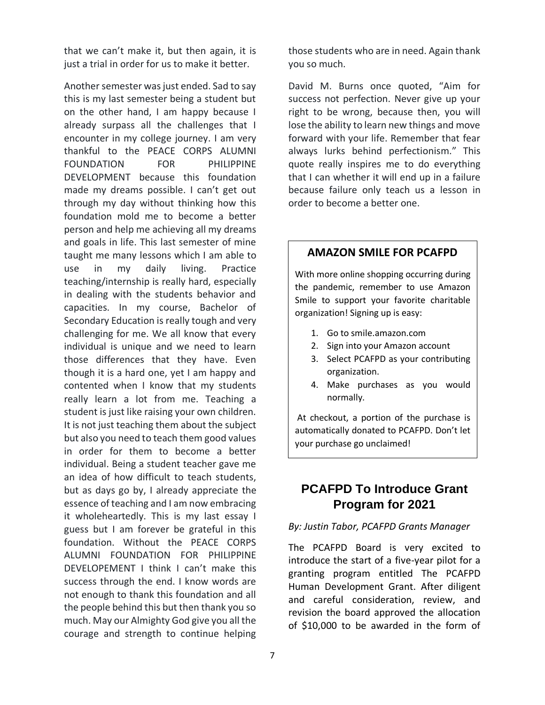that we can't make it, but then again, it is just a trial in order for us to make it better.

Another semester was just ended. Sad to say this is my last semester being a student but on the other hand, I am happy because I already surpass all the challenges that I encounter in my college journey. I am very thankful to the PEACE CORPS ALUMNI FOUNDATION FOR PHILIPPINE DEVELOPMENT because this foundation made my dreams possible. I can't get out through my day without thinking how this foundation mold me to become a better person and help me achieving all my dreams and goals in life. This last semester of mine taught me many lessons which I am able to use in my daily living. Practice teaching/internship is really hard, especially in dealing with the students behavior and capacities. In my course, Bachelor of Secondary Education is really tough and very challenging for me. We all know that every individual is unique and we need to learn those differences that they have. Even though it is a hard one, yet I am happy and contented when I know that my students really learn a lot from me. Teaching a student is just like raising your own children. It is not just teaching them about the subject but also you need to teach them good values in order for them to become a better individual. Being a student teacher gave me an idea of how difficult to teach students, but as days go by, I already appreciate the essence of teaching and I am now embracing it wholeheartedly. This is my last essay I guess but I am forever be grateful in this foundation. Without the PEACE CORPS ALUMNI FOUNDATION FOR PHILIPPINE DEVELOPEMENT I think I can't make this success through the end. I know words are not enough to thank this foundation and all the people behind this but then thank you so much. May our Almighty God give you all the courage and strength to continue helping

those students who are in need. Again thank you so much.

David M. Burns once quoted, "Aim for success not perfection. Never give up your right to be wrong, because then, you will lose the ability to learn new things and move forward with your life. Remember that fear always lurks behind perfectionism." This quote really inspires me to do everything that I can whether it will end up in a failure because failure only teach us a lesson in order to become a better one.

#### **AMAZON SMILE FOR PCAFPD**

With more online shopping occurring during the pandemic, remember to use Amazon Smile to support your favorite charitable organization! Signing up is easy:

- 1. Go to smile.amazon.com
- 2. Sign into your Amazon account
- 3. Select PCAFPD as your contributing organization.
- 4. Make purchases as you would normally.

At checkout, a portion of the purchase is automatically donated to PCAFPD. Don't let your purchase go unclaimed!

# **PCAFPD To Introduce Grant Program for 2021**

#### *By: Justin Tabor, PCAFPD Grants Manager*

The PCAFPD Board is very excited to introduce the start of a five-year pilot for a granting program entitled The PCAFPD Human Development Grant. After diligent and careful consideration, review, and revision the board approved the allocation of \$10,000 to be awarded in the form of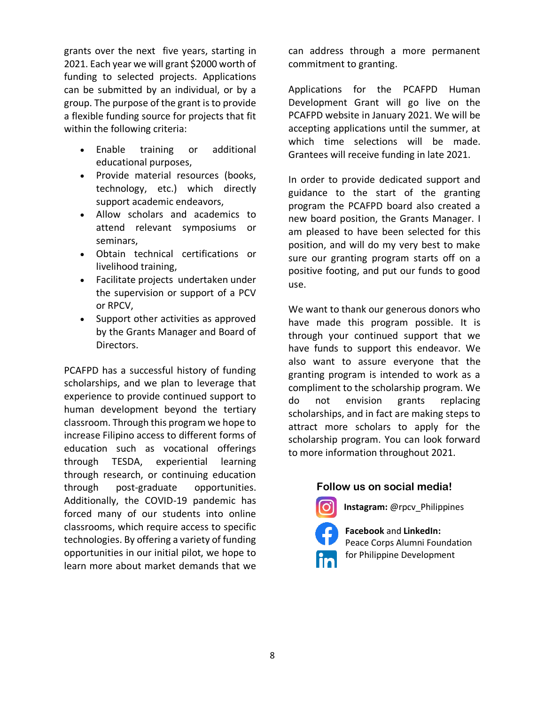grants over the next five years, starting in 2021. Each year we will grant \$2000 worth of funding to selected projects. Applications can be submitted by an individual, or by a group. The purpose of the grant is to provide a flexible funding source for projects that fit within the following criteria:

- Enable training or additional educational purposes,
- Provide material resources (books, technology, etc.) which directly support academic endeavors,
- Allow scholars and academics to attend relevant symposiums or seminars,
- Obtain technical certifications or livelihood training,
- Facilitate projects undertaken under the supervision or support of a PCV or RPCV,
- Support other activities as approved by the Grants Manager and Board of Directors.

PCAFPD has a successful history of funding scholarships, and we plan to leverage that experience to provide continued support to human development beyond the tertiary classroom. Through this program we hope to increase Filipino access to different forms of education such as vocational offerings through TESDA, experiential learning through research, or continuing education through post-graduate opportunities. Additionally, the COVID-19 pandemic has forced many of our students into online classrooms, which require access to specific technologies. By offering a variety of funding opportunities in our initial pilot, we hope to learn more about market demands that we

can address through a more permanent commitment to granting.

Applications for the PCAFPD Human Development Grant will go live on the PCAFPD website in January 2021. We will be accepting applications until the summer, at which time selections will be made. Grantees will receive funding in late 2021.

In order to provide dedicated support and guidance to the start of the granting program the PCAFPD board also created a new board position, the Grants Manager. I am pleased to have been selected for this position, and will do my very best to make sure our granting program starts off on a positive footing, and put our funds to good use.

We want to thank our generous donors who have made this program possible. It is through your continued support that we have funds to support this endeavor. We also want to assure everyone that the granting program is intended to work as a compliment to the scholarship program. We do not envision grants replacing scholarships, and in fact are making steps to attract more scholars to apply for the scholarship program. You can look forward to more information throughout 2021.

#### **Follow us on social media!**



**Instagram:** @rpcv\_Philippines

**Facebook** and **LinkedIn:**  Peace Corps Alumni Foundation for Philippine Development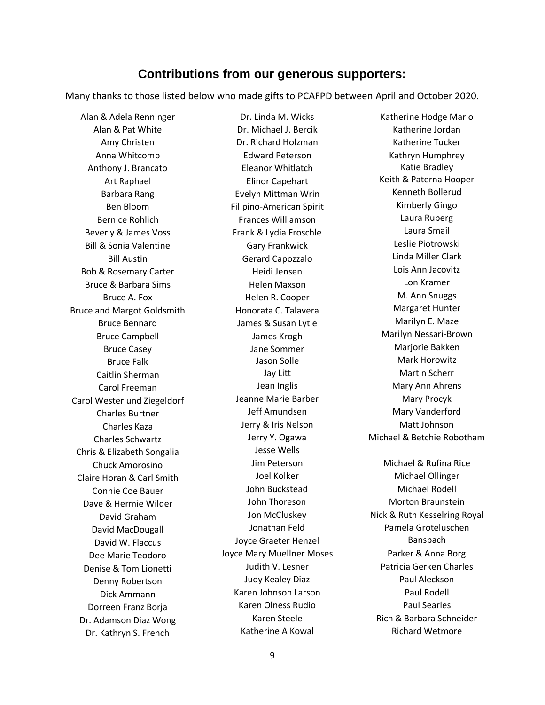#### **Contributions from our generous supporters:**

Many thanks to those listed below who made gifts to PCAFPD between April and October 2020.

Alan & Adela Renninger Alan & Pat White Amy Christen Anna Whitcomb Anthony J. Brancato Art Raphael Barbara Rang Ben Bloom Bernice Rohlich Beverly & James Voss Bill & Sonia Valentine Bill Austin Bob & Rosemary Carter Bruce & Barbara Sims Bruce A. Fox Bruce and Margot Goldsmith Bruce Bennard Bruce Campbell Bruce Casey Bruce Falk Caitlin Sherman Carol Freeman Carol Westerlund Ziegeldorf Charles Burtner Charles Kaza Charles Schwartz Chris & Elizabeth Songalia Chuck Amorosino Claire Horan & Carl Smith Connie Coe Bauer Dave & Hermie Wilder David Graham David MacDougall David W. Flaccus Dee Marie Teodoro Denise & Tom Lionetti Denny Robertson Dick Ammann Dorreen Franz Borja Dr. Adamson Diaz Wong Dr. Kathryn S. French

Dr. Linda M. Wicks Dr. Michael J. Bercik Dr. Richard Holzman Edward Peterson Eleanor Whitlatch Elinor Capehart Evelyn Mittman Wrin Filipino-American Spirit Frances Williamson Frank & Lydia Froschle Gary Frankwick Gerard Capozzalo Heidi Jensen Helen Maxson Helen R. Cooper Honorata C. Talavera James & Susan Lytle James Krogh Jane Sommer Jason Solle Jay Litt Jean Inglis Jeanne Marie Barber Jeff Amundsen Jerry & Iris Nelson Jerry Y. Ogawa Jesse Wells Jim Peterson Joel Kolker John Buckstead John Thoreson Jon McCluskey Jonathan Feld Joyce Graeter Henzel Joyce Mary Muellner Moses Judith V. Lesner Judy Kealey Diaz Karen Johnson Larson Karen Olness Rudio Karen Steele Katherine A Kowal

Katherine Hodge Mario Katherine Jordan Katherine Tucker Kathryn Humphrey Katie Bradley Keith & Paterna Hooper Kenneth Bollerud Kimberly Gingo Laura Ruberg Laura Smail Leslie Piotrowski Linda Miller Clark Lois Ann Jacovitz Lon Kramer M. Ann Snuggs Margaret Hunter Marilyn E. Maze Marilyn Nessari-Brown Marjorie Bakken Mark Horowitz Martin Scherr Mary Ann Ahrens Mary Procyk Mary Vanderford Matt Johnson Michael & Betchie Robotham Michael & Rufina Rice Michael Ollinger Michael Rodell Morton Braunstein Nick & Ruth Kesselring Royal Pamela Groteluschen Bansbach

Parker & Anna Borg Patricia Gerken Charles Paul Aleckson Paul Rodell Paul Searles Rich & Barbara Schneider Richard Wetmore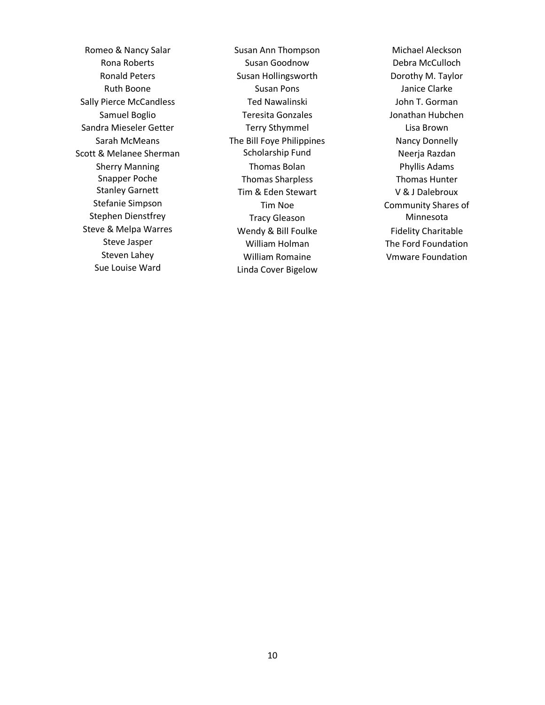Romeo & Nancy Salar Rona Roberts Ronald Peters Ruth Boone Sally Pierce McCandless Samuel Boglio Sandra Mieseler Getter Sarah McMeans Scott & Melanee Sherman Sherry Manning Snapper Poche Stanley Garnett Stefanie Simpson Stephen Dienstfrey Steve & Melpa Warres Steve Jasper Steven Lahey Sue Louise Ward

Susan Ann Thompson Susan Goodnow Susan Hollingsworth Susan Pons Ted Nawalinski Teresita Gonzales Terry Sthymmel The Bill Foye Philippines Scholarship Fund Thomas Bolan Thomas Sharpless Tim & Eden Stewart Tim Noe Tracy Gleason Wendy & Bill Foulke William Holman William Romaine Linda Cover Bigelow

Michael Aleckson Debra McCulloch Dorothy M. Taylor Janice Clarke John T. Gorman Jonathan Hubchen Lisa Brown Nancy Donnelly Neerja Razdan Phyllis Adams Thomas Hunter V & J Dalebroux Community Shares of Minnesota Fidelity Charitable The Ford Foundation Vmware Foundation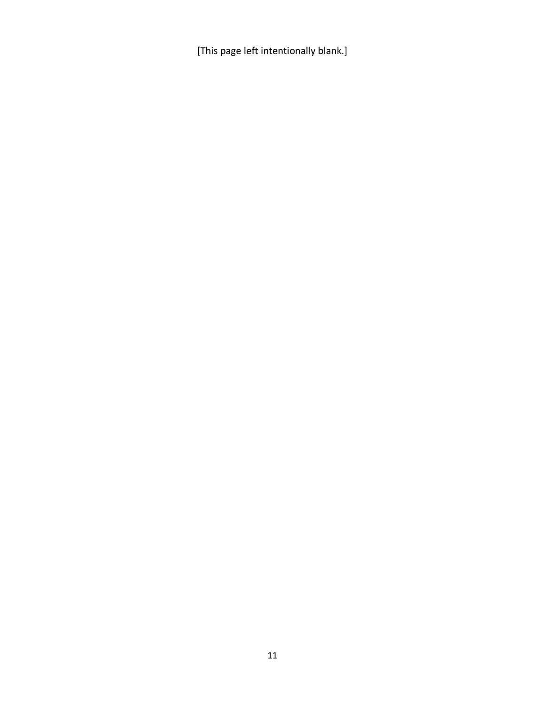[This page left intentionally blank.]